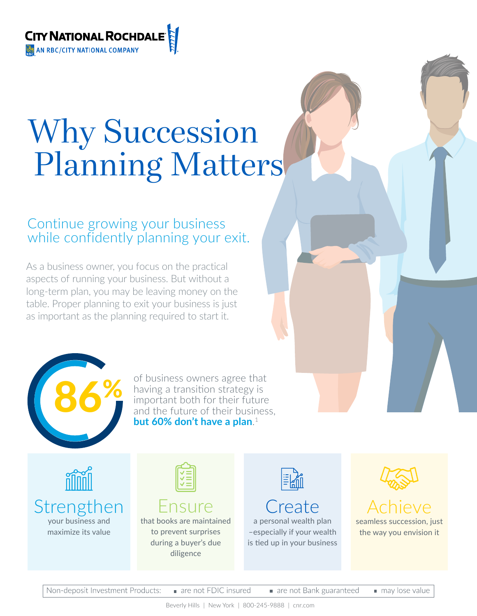

# Why Succession Planning Matters

## Continue growing your business while confidently planning your exit.

As a business owner, you focus on the practical aspects of running your business. But without a long-term plan, you may be leaving money on the table. Proper planning to exit your business is just as important as the planning required to start it.



of business owners agree that having a transition strategy is important both for their future and the future of their business, **but 60% don't have a plan**. 1



Non-deposit Investment Products: are not FDIC insured are not Bank guaranteed may lose value